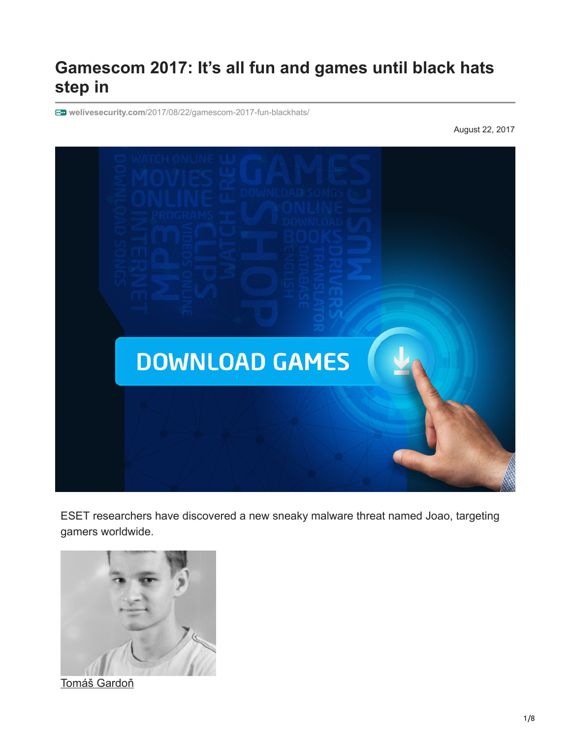# **Gamescom 2017: It's all fun and games until black hats step in**

**welivesecurity.com**[/2017/08/22/gamescom-2017-fun-blackhats/](https://www.welivesecurity.com/2017/08/22/gamescom-2017-fun-blackhats/)

August 22, 2017



ESET researchers have discovered a new sneaky malware threat named Joao, targeting gamers worldwide.



[Tomáš Gardoň](https://www.welivesecurity.com/author/tgardon/)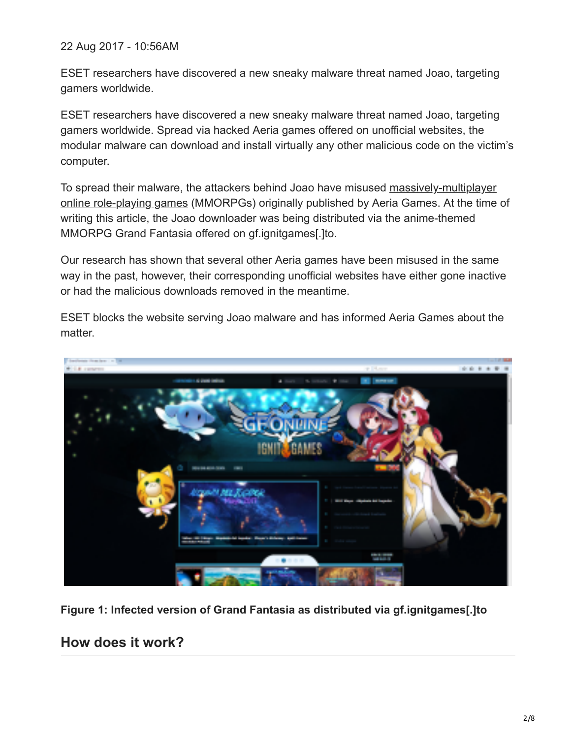22 Aug 2017 - 10:56AM

ESET researchers have discovered a new sneaky malware threat named Joao, targeting gamers worldwide.

ESET researchers have discovered a new sneaky malware threat named Joao, targeting gamers worldwide. Spread via hacked Aeria games offered on unofficial websites, the modular malware can download and install virtually any other malicious code on the victim's computer.

[To spread their malware, the attackers behind Joao have misused massively-multiplayer](https://en.wikipedia.org/wiki/Massively_multiplayer_online_role-playing_game) online role-playing games (MMORPGs) originally published by Aeria Games. At the time of writing this article, the Joao downloader was being distributed via the anime-themed MMORPG Grand Fantasia offered on gf.ignitgames[.]to.

Our research has shown that several other Aeria games have been misused in the same way in the past, however, their corresponding unofficial websites have either gone inactive or had the malicious downloads removed in the meantime.

ESET blocks the website serving Joao malware and has informed Aeria Games about the matter.



**Figure 1: Infected version of Grand Fantasia as distributed via gf.ignitgames[.]to**

### **How does it work?**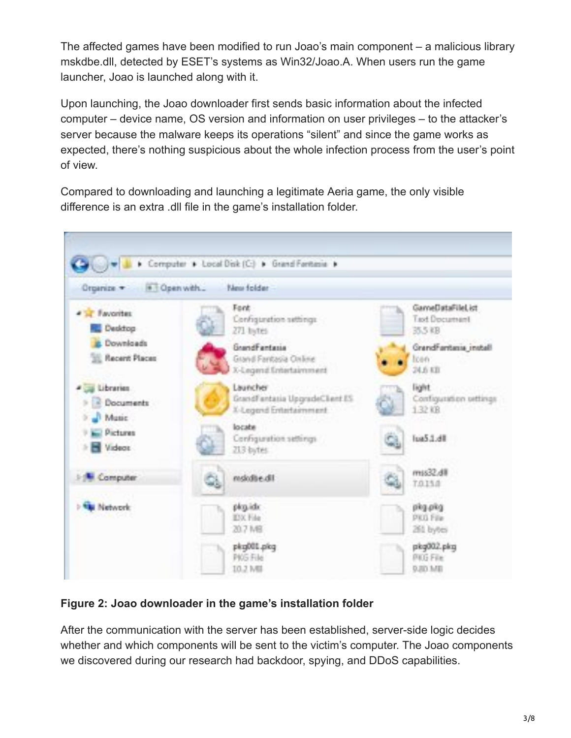The affected games have been modified to run Joao's main component – a malicious library mskdbe.dll, detected by ESET's systems as Win32/Joao.A. When users run the game launcher, Joao is launched along with it.

Upon launching, the Joao downloader first sends basic information about the infected computer – device name, OS version and information on user privileges – to the attacker's server because the malware keeps its operations "silent" and since the game works as expected, there's nothing suspicious about the whole infection process from the user's point of view.

Compared to downloading and launching a legitimate Aeria game, the only visible difference is an extra .dll file in the game's installation folder.



### **Figure 2: Joao downloader in the game's installation folder**

After the communication with the server has been established, server-side logic decides whether and which components will be sent to the victim's computer. The Joao components we discovered during our research had backdoor, spying, and DDoS capabilities.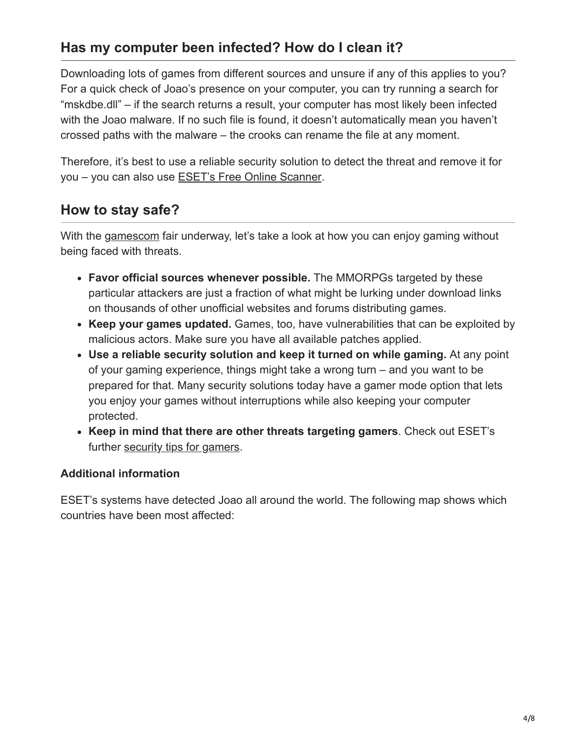## **Has my computer been infected? How do I clean it?**

Downloading lots of games from different sources and unsure if any of this applies to you? For a quick check of Joao's presence on your computer, you can try running a search for "mskdbe.dll" – if the search returns a result, your computer has most likely been infected with the Joao malware. If no such file is found, it doesn't automatically mean you haven't crossed paths with the malware – the crooks can rename the file at any moment.

Therefore, it's best to use a reliable security solution to detect the threat and remove it for you – you can also use [ESET's Free Online Scanner.](https://www.eset.com/ng/home/products/online-scanner/)

### **How to stay safe?**

With the [gamescom](http://www.gamescom-cologne.com/gamescom/index-9.php) fair underway, let's take a look at how you can enjoy gaming without being faced with threats.

- **Favor official sources whenever possible.** The MMORPGs targeted by these particular attackers are just a fraction of what might be lurking under download links on thousands of other unofficial websites and forums distributing games.
- **Keep your games updated.** Games, too, have vulnerabilities that can be exploited by malicious actors. Make sure you have all available patches applied.
- **Use a reliable security solution and keep it turned on while gaming.** At any point of your gaming experience, things might take a wrong turn – and you want to be prepared for that. Many security solutions today have a gamer mode option that lets you enjoy your games without interruptions while also keeping your computer protected.
- **Keep in mind that there are other threats targeting gamers**. Check out ESET's further [security tips for gamers](https://www.welivesecurity.com/2015/08/28/8-security-tips-gamers-go-play-no-worries/).

### **Additional information**

ESET's systems have detected Joao all around the world. The following map shows which countries have been most affected: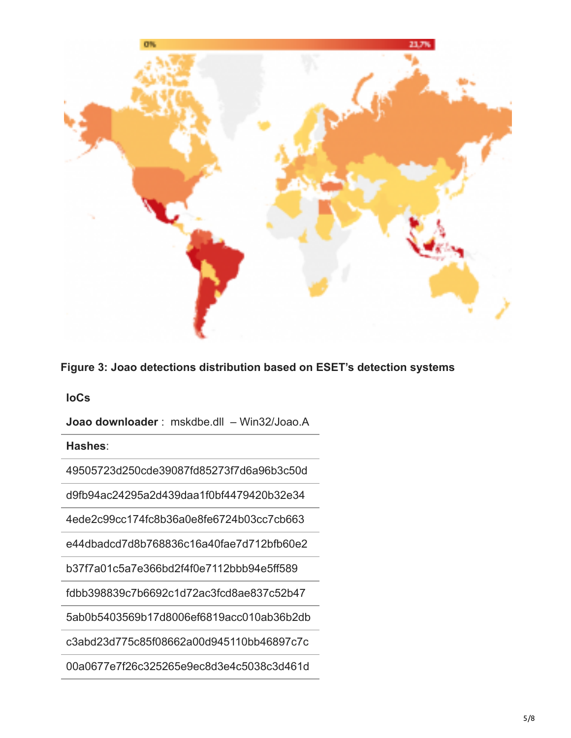

**Figure 3: Joao detections distribution based on ESET's detection systems**

**IoCs**

**Joao downloader** : mskdbe.dll – Win32/Joao.A

**Hashes**:

49505723d250cde39087fd85273f7d6a96b3c50d

d9fb94ac24295a2d439daa1f0bf4479420b32e34

4ede2c99cc174fc8b36a0e8fe6724b03cc7cb663

e44dbadcd7d8b768836c16a40fae7d712bfb60e2

b37f7a01c5a7e366bd2f4f0e7112bbb94e5ff589

fdbb398839c7b6692c1d72ac3fcd8ae837c52b47

5ab0b5403569b17d8006ef6819acc010ab36b2db

c3abd23d775c85f08662a00d945110bb46897c7c

00a0677e7f26c325265e9ec8d3e4c5038c3d461d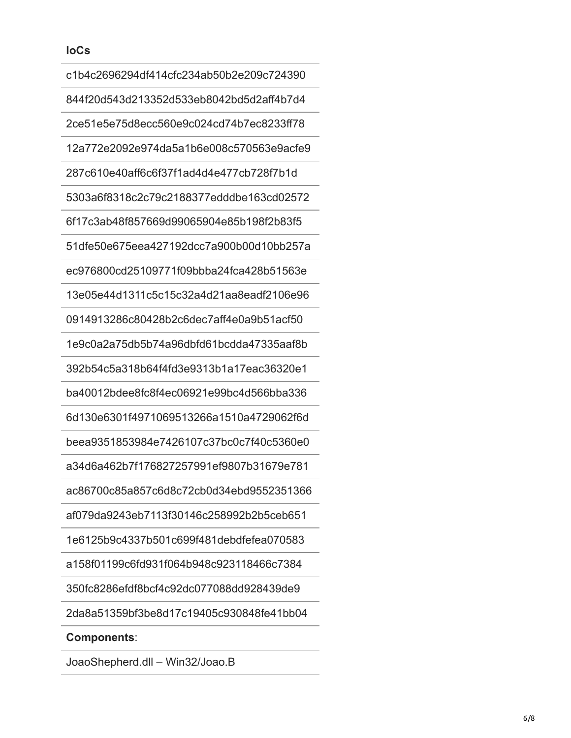| c1b4c2696294df414cfc234ab50b2e209c724390 |
|------------------------------------------|
| 844f20d543d213352d533eb8042bd5d2aff4b7d4 |
| 2ce51e5e75d8ecc560e9c024cd74b7ec8233ff78 |
| 12a772e2092e974da5a1b6e008c570563e9acfe9 |
| 287c610e40aff6c6f37f1ad4d4e477cb728f7b1d |
| 5303a6f8318c2c79c2188377edddbe163cd02572 |
| 6f17c3ab48f857669d99065904e85b198f2b83f5 |
| 51dfe50e675eea427192dcc7a900b00d10bb257a |
| ec976800cd25109771f09bbba24fca428b51563e |
| 13e05e44d1311c5c15c32a4d21aa8eadf2106e96 |
| 0914913286c80428b2c6dec7aff4e0a9b51acf50 |
| 1e9c0a2a75db5b74a96dbfd61bcdda47335aaf8b |
| 392b54c5a318b64f4fd3e9313b1a17eac36320e1 |
| ba40012bdee8fc8f4ec06921e99bc4d566bba336 |
| 6d130e6301f4971069513266a1510a4729062f6d |
| beea9351853984e7426107c37bc0c7f40c5360e0 |
| a34d6a462b7f176827257991ef9807b31679e781 |
| ac86700c85a857c6d8c72cb0d34ebd9552351366 |
| af079da9243eb7113f30146c258992b2b5ceb651 |
| 1e6125b9c4337b501c699f481debdfefea070583 |
| a158f01199c6fd931f064b948c923118466c7384 |
| 350fc8286efdf8bcf4c92dc077088dd928439de9 |
| 2da8a51359bf3be8d17c19405c930848fe41bb04 |
| <b>Components:</b>                       |
|                                          |

JoaoShepherd.dll – Win32/Joao.B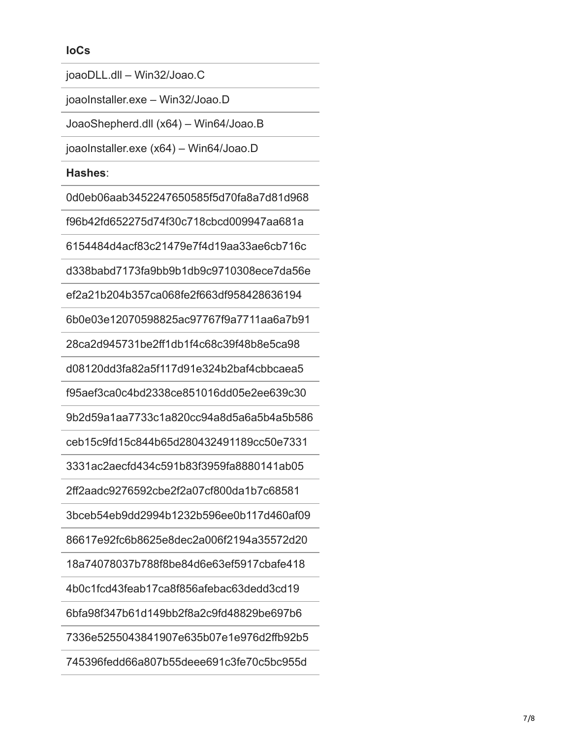#### **IoCs**

joaoDLL.dll – Win32/Joao.C

joaoInstaller.exe – Win32/Joao.D

JoaoShepherd.dll (x64) – Win64/Joao.B

joaoInstaller.exe (x64) – Win64/Joao.D

#### **Hashes**:

0d0eb06aab3452247650585f5d70fa8a7d81d968

f96b42fd652275d74f30c718cbcd009947aa681a

6154484d4acf83c21479e7f4d19aa33ae6cb716c

d338babd7173fa9bb9b1db9c9710308ece7da56e

ef2a21b204b357ca068fe2f663df958428636194

6b0e03e12070598825ac97767f9a7711aa6a7b91

28ca2d945731be2ff1db1f4c68c39f48b8e5ca98

d08120dd3fa82a5f117d91e324b2baf4cbbcaea5

f95aef3ca0c4bd2338ce851016dd05e2ee639c30

9b2d59a1aa7733c1a820cc94a8d5a6a5b4a5b586

ceb15c9fd15c844b65d280432491189cc50e7331

3331ac2aecfd434c591b83f3959fa8880141ab05

2ff2aadc9276592cbe2f2a07cf800da1b7c68581

3bceb54eb9dd2994b1232b596ee0b117d460af09

86617e92fc6b8625e8dec2a006f2194a35572d20

18a74078037b788f8be84d6e63ef5917cbafe418

4b0c1fcd43feab17ca8f856afebac63dedd3cd19

6bfa98f347b61d149bb2f8a2c9fd48829be697b6

7336e5255043841907e635b07e1e976d2ffb92b5

745396fedd66a807b55deee691c3fe70c5bc955d